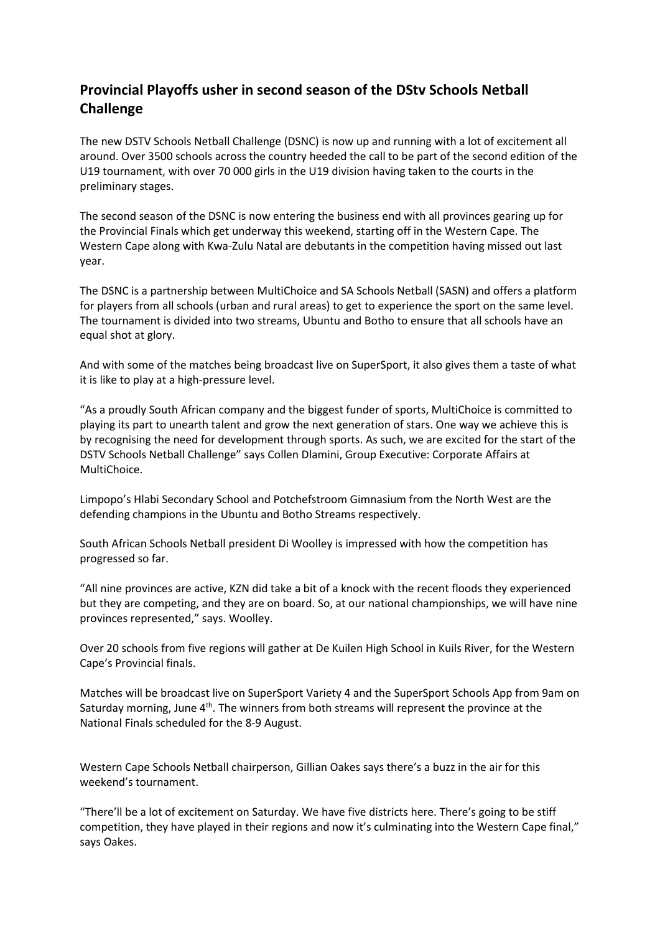## **Provincial Playoffs usher in second season of the DStv Schools Netball Challenge**

The new DSTV Schools Netball Challenge (DSNC) is now up and running with a lot of excitement all around. Over 3500 schools across the country heeded the call to be part of the second edition of the U19 tournament, with over 70 000 girls in the U19 division having taken to the courts in the preliminary stages.

The second season of the DSNC is now entering the business end with all provinces gearing up for the Provincial Finals which get underway this weekend, starting off in the Western Cape. The Western Cape along with Kwa-Zulu Natal are debutants in the competition having missed out last year.

The DSNC is a partnership between MultiChoice and SA Schools Netball (SASN) and offers a platform for players from all schools (urban and rural areas) to get to experience the sport on the same level. The tournament is divided into two streams, Ubuntu and Botho to ensure that all schools have an equal shot at glory.

And with some of the matches being broadcast live on SuperSport, it also gives them a taste of what it is like to play at a high-pressure level.

"As a proudly South African company and the biggest funder of sports, MultiChoice is committed to playing its part to unearth talent and grow the next generation of stars. One way we achieve this is by recognising the need for development through sports. As such, we are excited for the start of the DSTV Schools Netball Challenge" says Collen Dlamini, Group Executive: Corporate Affairs at MultiChoice.

Limpopo's Hlabi Secondary School and Potchefstroom Gimnasium from the North West are the defending champions in the Ubuntu and Botho Streams respectively.

South African Schools Netball president Di Woolley is impressed with how the competition has progressed so far.

"All nine provinces are active, KZN did take a bit of a knock with the recent floods they experienced but they are competing, and they are on board. So, at our national championships, we will have nine provinces represented," says. Woolley.

Over 20 schools from five regions will gather at De Kuilen High School in Kuils River, for the Western Cape's Provincial finals.

Matches will be broadcast live on SuperSport Variety 4 and the SuperSport Schools App from 9am on Saturday morning, June 4<sup>th</sup>. The winners from both streams will represent the province at the National Finals scheduled for the 8-9 August.

Western Cape Schools Netball chairperson, Gillian Oakes says there's a buzz in the air for this weekend's tournament.

"There'll be a lot of excitement on Saturday. We have five districts here. There's going to be stiff competition, they have played in their regions and now it's culminating into the Western Cape final," says Oakes.